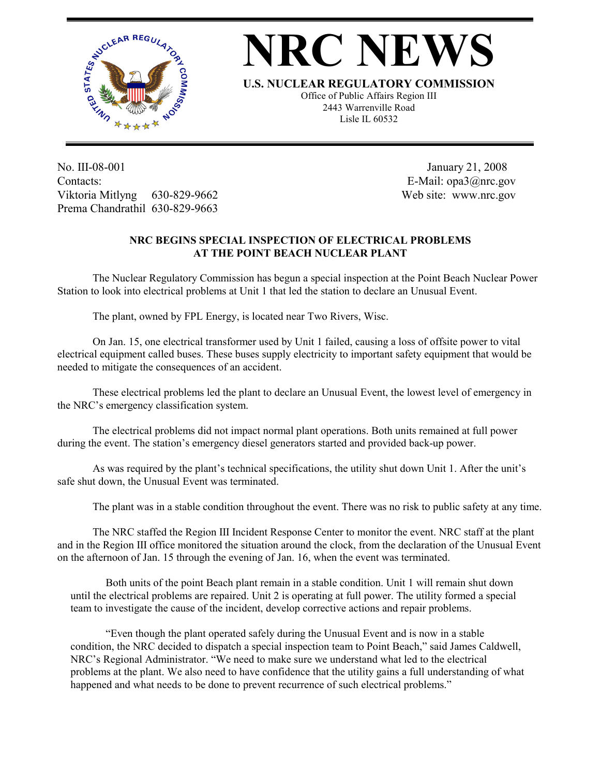

## **NRC NEW**

**U.S. NUCLEAR REGULATORY COMMISSION**

Office of Public Affairs Region III 2443 Warrenville Road Lisle IL 60532

No. III-08-001 Contacts: Viktoria Mitlyng 630-829-9662 Prema Chandrathil 630-829-9663

 January 21, 2008 E-Mail: opa3@nrc.gov Web site: www.nrc.gov

## **NRC BEGINS SPECIAL INSPECTION OF ELECTRICAL PROBLEMS AT THE POINT BEACH NUCLEAR PLANT**

The Nuclear Regulatory Commission has begun a special inspection at the Point Beach Nuclear Power Station to look into electrical problems at Unit 1 that led the station to declare an Unusual Event.

The plant, owned by FPL Energy, is located near Two Rivers, Wisc.

On Jan. 15, one electrical transformer used by Unit 1 failed, causing a loss of offsite power to vital electrical equipment called buses. These buses supply electricity to important safety equipment that would be needed to mitigate the consequences of an accident.

These electrical problems led the plant to declare an Unusual Event, the lowest level of emergency in the NRC's emergency classification system.

The electrical problems did not impact normal plant operations. Both units remained at full power during the event. The station's emergency diesel generators started and provided back-up power.

 As was required by the plant's technical specifications, the utility shut down Unit 1. After the unit's safe shut down, the Unusual Event was terminated.

The plant was in a stable condition throughout the event. There was no risk to public safety at any time.

 The NRC staffed the Region III Incident Response Center to monitor the event. NRC staff at the plant and in the Region III office monitored the situation around the clock, from the declaration of the Unusual Event on the afternoon of Jan. 15 through the evening of Jan. 16, when the event was terminated.

Both units of the point Beach plant remain in a stable condition. Unit 1 will remain shut down until the electrical problems are repaired. Unit 2 is operating at full power. The utility formed a special team to investigate the cause of the incident, develop corrective actions and repair problems.

"Even though the plant operated safely during the Unusual Event and is now in a stable condition, the NRC decided to dispatch a special inspection team to Point Beach," said James Caldwell, NRC's Regional Administrator. "We need to make sure we understand what led to the electrical problems at the plant. We also need to have confidence that the utility gains a full understanding of what happened and what needs to be done to prevent recurrence of such electrical problems."